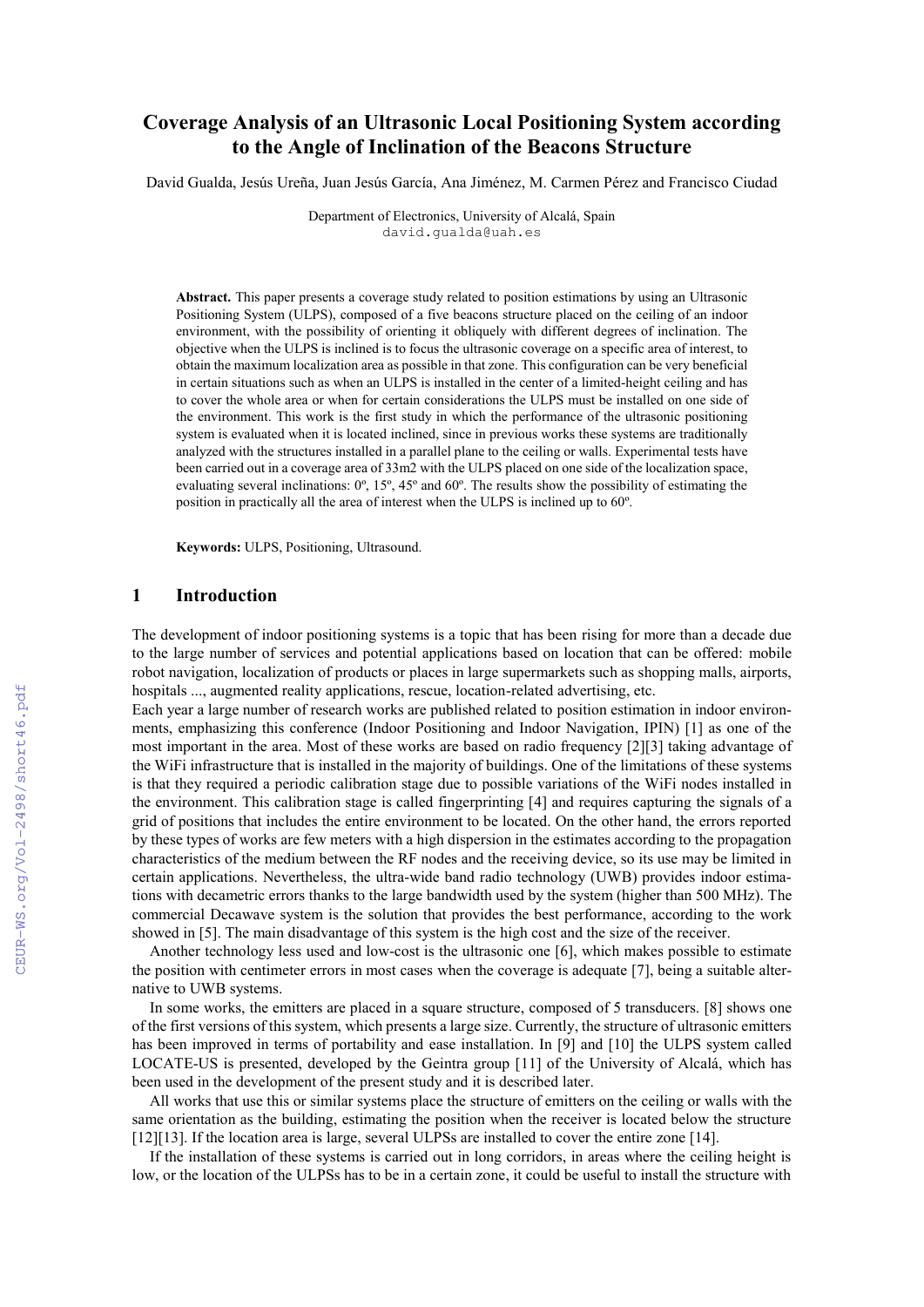# **Coverage Analysis of an Ultrasonic Local Positioning System according to the Angle of Inclination of the Beacons Structure**

David Gualda, Jesús Ureña, Juan Jesús García, Ana Jiménez, M. Carmen Pérez and Francisco Ciudad

Department of Electronics, University of Alcalá, Spain david.gualda@uah.es

**Abstract.** This paper presents a coverage study related to position estimations by using an Ultrasonic Positioning System (ULPS), composed of a five beacons structure placed on the ceiling of an indoor environment, with the possibility of orienting it obliquely with different degrees of inclination. The objective when the ULPS is inclined is to focus the ultrasonic coverage on a specific area of interest, to obtain the maximum localization area as possible in that zone. This configuration can be very beneficial in certain situations such as when an ULPS is installed in the center of a limited-height ceiling and has to cover the whole area or when for certain considerations the ULPS must be installed on one side of the environment. This work is the first study in which the performance of the ultrasonic positioning system is evaluated when it is located inclined, since in previous works these systems are traditionally analyzed with the structures installed in a parallel plane to the ceiling or walls. Experimental tests have been carried out in a coverage area of 33m2 with the ULPS placed on one side of the localization space, evaluating several inclinations: 0º, 15º, 45º and 60º. The results show the possibility of estimating the position in practically all the area of interest when the ULPS is inclined up to 60º.

**Keywords:** ULPS, Positioning, Ultrasound.

### **1 Introduction**

The development of indoor positioning systems is a topic that has been rising for more than a decade due to the large number of services and potential applications based on location that can be offered: mobile robot navigation, localization of products or places in large supermarkets such as shopping malls, airports, hospitals ..., augmented reality applications, rescue, location-related advertising, etc.

Each year a large number of research works are published related to position estimation in indoor environments, emphasizing this conference (Indoor Positioning and Indoor Navigation, IPIN) [\[1\]](#page--1-0) as one of the most important in the area. Most of these works are based on radio frequency [\[2\]](#page--1-1)[\[3\]](#page--1-2) taking advantage of the WiFi infrastructure that is installed in the majority of buildings. One of the limitations of these systems is that they required a periodic calibration stage due to possible variations of the WiFi nodes installed in the environment. This calibration stage is called fingerprinting [\[4\]](#page--1-3) and requires capturing the signals of a grid of positions that includes the entire environment to be located. On the other hand, the errors reported by these types of works are few meters with a high dispersion in the estimates according to the propagation characteristics of the medium between the RF nodes and the receiving device, so its use may be limited in certain applications. Nevertheless, the ultra-wide band radio technology (UWB) provides indoor estimations with decametric errors thanks to the large bandwidth used by the system (higher than 500 MHz). The commercial Decawave system is the solution that provides the best performance, according to the work showed in [\[5\]](#page--1-4). The main disadvantage of this system is the high cost and the size of the receiver.

Another technology less used and low-cost is the ultrasonic one [\[6\]](#page--1-5), which makes possible to estimate the position with centimeter errors in most cases when the coverage is adequate [\[7\]](#page--1-6), being a suitable alternative to UWB systems.

In some works, the emitters are placed in a square structure, composed of 5 transducers. [\[8\]](#page--1-7) shows one of the first versions of this system, which presents a large size. Currently, the structure of ultrasonic emitters has been improved in terms of portability and ease installation. In [\[9\]](#page--1-8) and [\[10\]](#page--1-9) the ULPS system called LOCATE-US is presented, developed by the Geintra group [\[11\]](#page--1-10) of the University of Alcalá, which has been used in the development of the present study and it is described later.

All works that use this or similar systems place the structure of emitters on the ceiling or walls with the same orientation as the building, estimating the position when the receiver is located below the structure [\[12\]](#page--1-11)[\[13\]](#page--1-12). If the location area is large, several ULPSs are installed to cover the entire zone [\[14\]](#page--1-13).

If the installation of these systems is carried out in long corridors, in areas where the ceiling height is low, or the location of the ULPSs has to be in a certain zone, it could be useful to install the structure with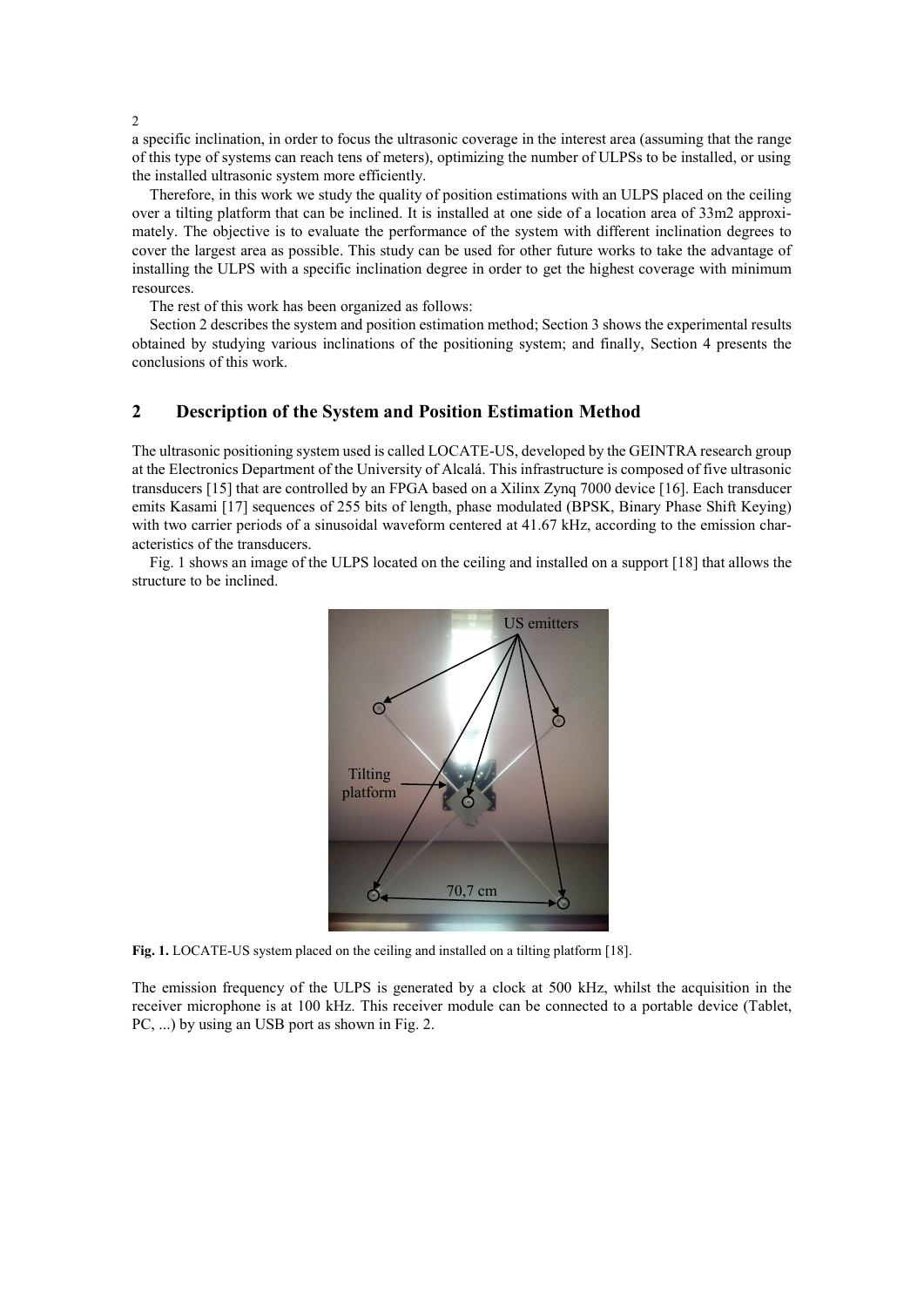a specific inclination, in order to focus the ultrasonic coverage in the interest area (assuming that the range of this type of systems can reach tens of meters), optimizing the number of ULPSs to be installed, or using the installed ultrasonic system more efficiently.

Therefore, in this work we study the quality of position estimations with an ULPS placed on the ceiling over a tilting platform that can be inclined. It is installed at one side of a location area of 33m2 approximately. The objective is to evaluate the performance of the system with different inclination degrees to cover the largest area as possible. This study can be used for other future works to take the advantage of installing the ULPS with a specific inclination degree in order to get the highest coverage with minimum resources.

The rest of this work has been organized as follows:

Section 2 describes the system and position estimation method; Section 3 shows the experimental results obtained by studying various inclinations of the positioning system; and finally, Section 4 presents the conclusions of this work.

# **2 Description of the System and Position Estimation Method**

The ultrasonic positioning system used is called LOCATE-US, developed by the GEINTRA research group at the Electronics Department of the University of Alcalá. This infrastructure is composed of five ultrasonic transducers [\[15\]](#page-6-0) that are controlled by an FPGA based on a Xilinx Zynq 7000 device [\[16\]](#page-6-1). Each transducer emits Kasami [\[17\]](#page-6-2) sequences of 255 bits of length, phase modulated (BPSK, Binary Phase Shift Keying) with two carrier periods of a sinusoidal waveform centered at 41.67 kHz, according to the emission characteristics of the transducers.

Fig. 1 shows an image of the ULPS located on the ceiling and installed on a support [\[18\]](#page-6-3) that allows the structure to be inclined.



**Fig. 1.** LOCATE-US system placed on the ceiling and installed on a tilting platform [\[18\]](#page-6-3).

The emission frequency of the ULPS is generated by a clock at 500 kHz, whilst the acquisition in the receiver microphone is at 100 kHz. This receiver module can be connected to a portable device (Tablet, PC, ...) by using an USB port as shown in Fig. 2.

#### 2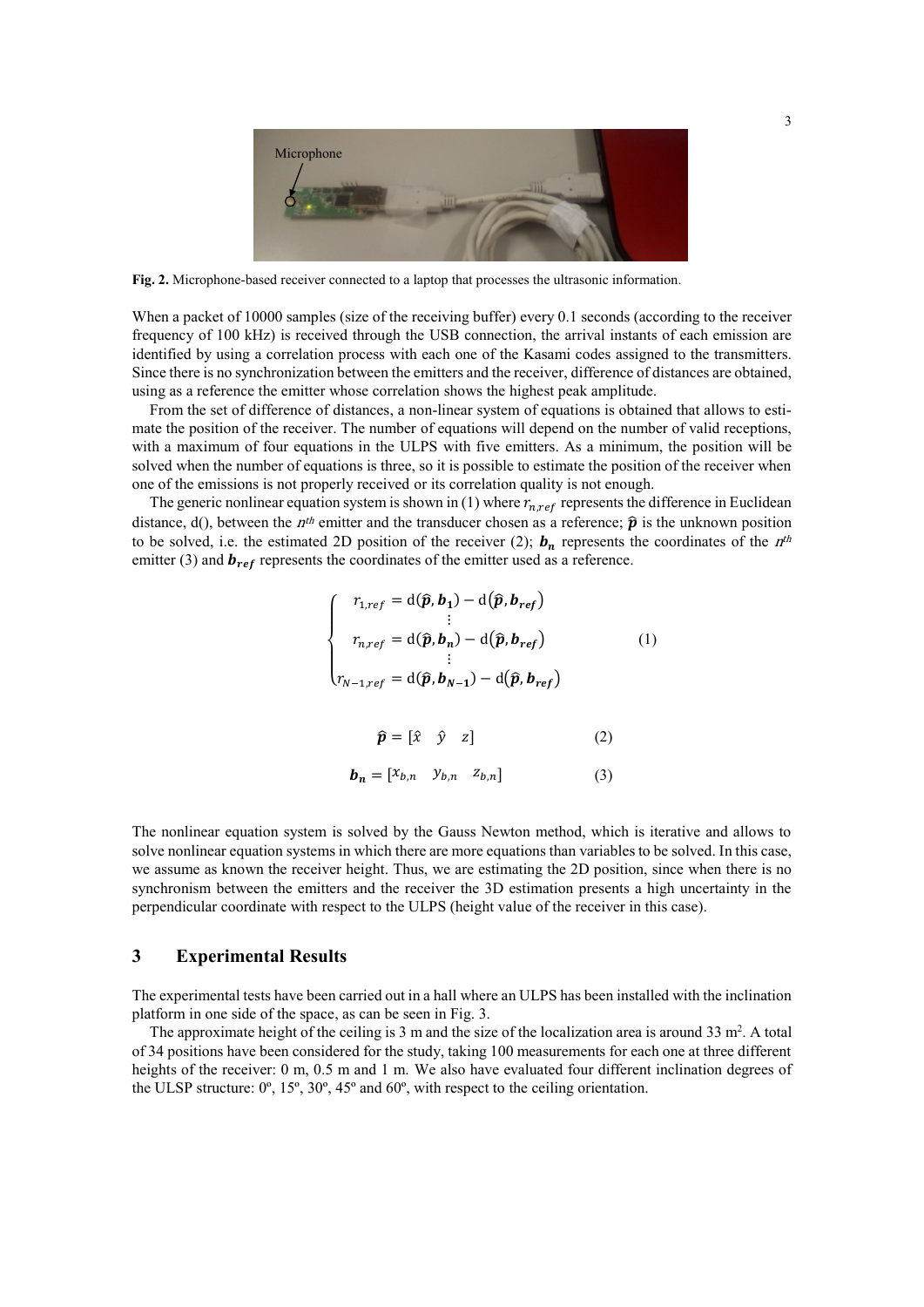

**Fig. 2.** Microphone-based receiver connected to a laptop that processes the ultrasonic information.

When a packet of 10000 samples (size of the receiving buffer) every 0.1 seconds (according to the receiver frequency of 100 kHz) is received through the USB connection, the arrival instants of each emission are identified by using a correlation process with each one of the Kasami codes assigned to the transmitters. Since there is no synchronization between the emitters and the receiver, difference of distances are obtained, using as a reference the emitter whose correlation shows the highest peak amplitude.

From the set of difference of distances, a non-linear system of equations is obtained that allows to estimate the position of the receiver. The number of equations will depend on the number of valid receptions, with a maximum of four equations in the ULPS with five emitters. As a minimum, the position will be solved when the number of equations is three, so it is possible to estimate the position of the receiver when one of the emissions is not properly received or its correlation quality is not enough.

The generic nonlinear equation system is shown in (1) where  $r_{n,ref}$  represents the difference in Euclidean distance, d(), between the *n<sup>th</sup>* emitter and the transducer chosen as a reference;  $\hat{p}$  is the unknown position to be solved, i.e. the estimated 2D position of the receiver (2);  $\mathbf{b}_n$  represents the coordinates of the  $n^{th}$ emitter (3) and  $\mathbf{b}_{ref}$  represents the coordinates of the emitter used as a reference.

$$
\begin{cases}\nr_{1,ref} = d(\hat{p}, b_1) - d(\hat{p}, b_{ref}) \\
\vdots \\
r_{n,ref} = d(\hat{p}, b_n) - d(\hat{p}, b_{ref}) \\
\vdots \\
r_{N-1,ref} = d(\hat{p}, b_{N-1}) - d(\hat{p}, b_{ref})\n\end{cases}
$$
\n(1)\n
$$
\hat{p} = [\hat{x} \quad \hat{y} \quad z] \quad (2)
$$
\n
$$
b_n = [x_{b,n} \quad y_{b,n} \quad z_{b,n}] \quad (3)
$$

The nonlinear equation system is solved by the Gauss Newton method, which is iterative and allows to solve nonlinear equation systems in which there are more equations than variables to be solved. In this case, we assume as known the receiver height. Thus, we are estimating the 2D position, since when there is no synchronism between the emitters and the receiver the 3D estimation presents a high uncertainty in the perpendicular coordinate with respect to the ULPS (height value of the receiver in this case).

### **3 Experimental Results**

The experimental tests have been carried out in a hall where an ULPS has been installed with the inclination platform in one side of the space, as can be seen in Fig. 3.

The approximate height of the ceiling is  $3 \text{ m}$  and the size of the localization area is around  $33 \text{ m}^2$ . A total of 34 positions have been considered for the study, taking 100 measurements for each one at three different heights of the receiver: 0 m, 0.5 m and 1 m. We also have evaluated four different inclination degrees of the ULSP structure:  $0^\circ$ ,  $15^\circ$ ,  $30^\circ$ ,  $45^\circ$  and  $60^\circ$ , with respect to the ceiling orientation.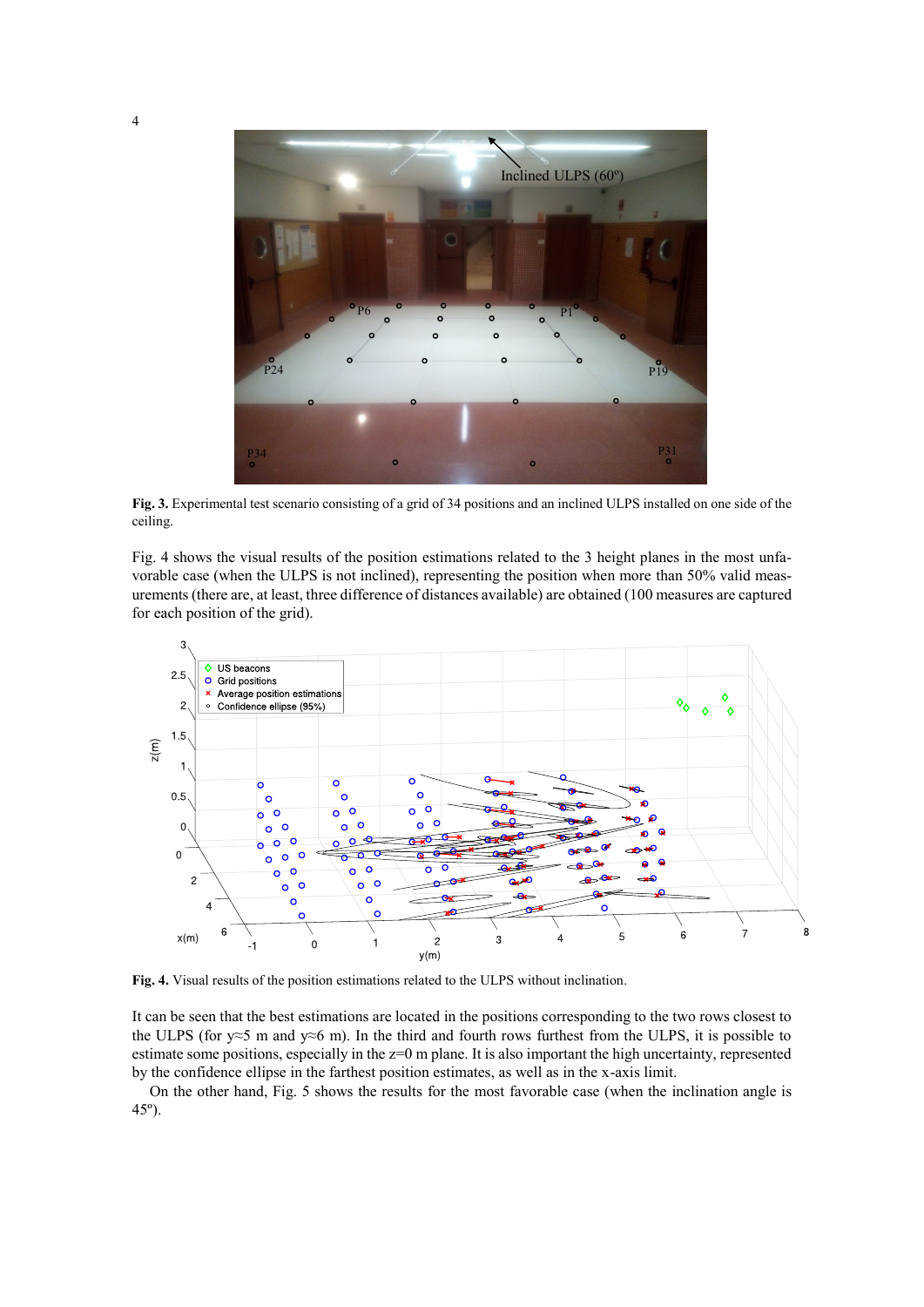

**Fig. 3.** Experimental test scenario consisting of a grid of 34 positions and an inclined ULPS installed on one side of the ceiling.

Fig. 4 shows the visual results of the position estimations related to the 3 height planes in the most unfavorable case (when the ULPS is not inclined), representing the position when more than 50% valid measurements(there are, at least, three difference of distances available) are obtained (100 measures are captured for each position of the grid).



**Fig. 4.** Visual results of the position estimations related to the ULPS without inclination.

It can be seen that the best estimations are located in the positions corresponding to the two rows closest to the ULPS (for y≈5 m and y≈6 m). In the third and fourth rows furthest from the ULPS, it is possible to estimate some positions, especially in the z=0 m plane. It is also important the high uncertainty, represented by the confidence ellipse in the farthest position estimates, as well as in the x-axis limit.

On the other hand, Fig. 5 shows the results for the most favorable case (when the inclination angle is 45º).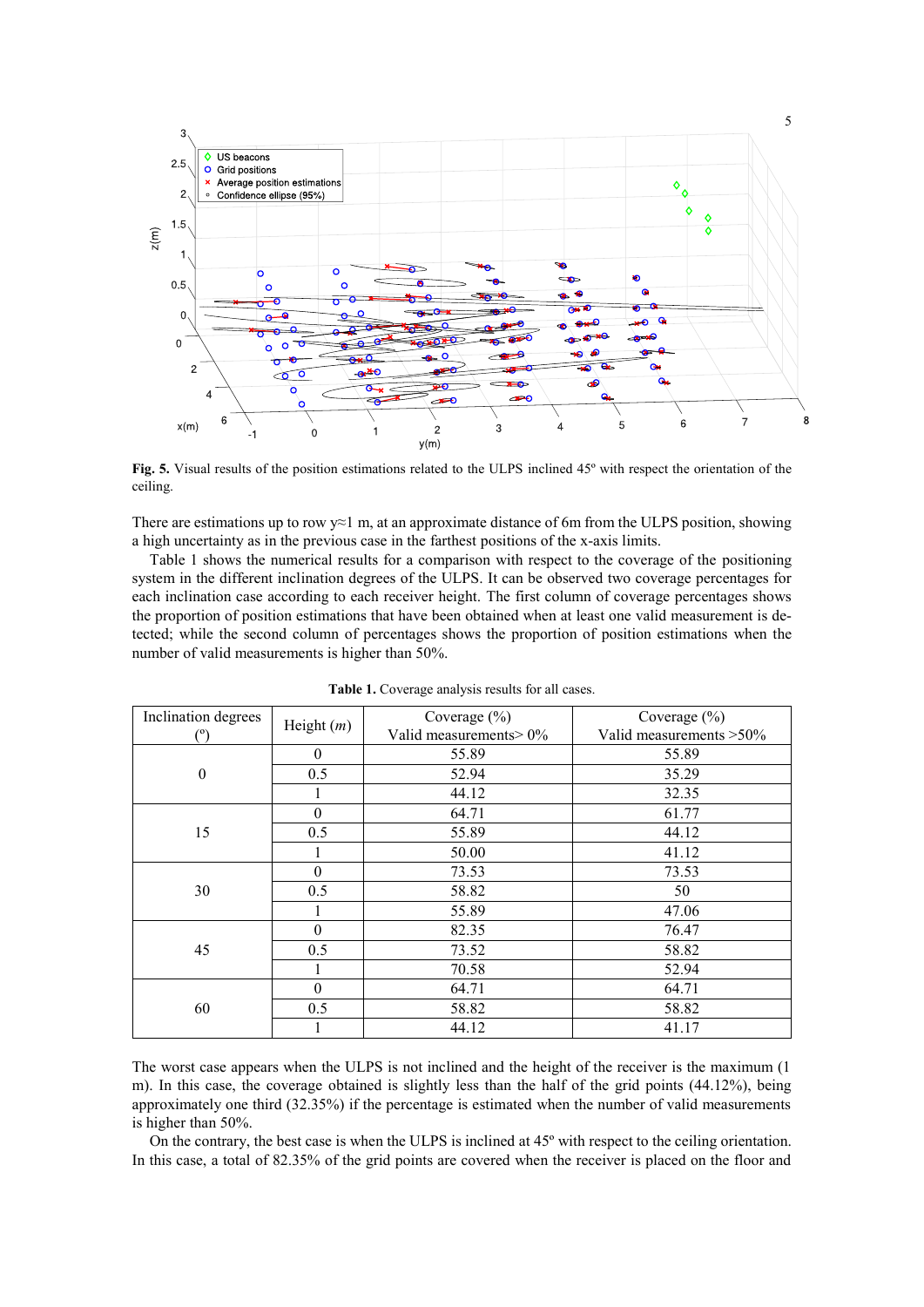

**Fig. 5.** Visual results of the position estimations related to the ULPS inclined 45º with respect the orientation of the ceiling.

There are estimations up to row  $\sqrt{21}$  m, at an approximate distance of 6m from the ULPS position, showing a high uncertainty as in the previous case in the farthest positions of the x-axis limits.

Table 1 shows the numerical results for a comparison with respect to the coverage of the positioning system in the different inclination degrees of the ULPS. It can be observed two coverage percentages for each inclination case according to each receiver height. The first column of coverage percentages shows the proportion of position estimations that have been obtained when at least one valid measurement is detected; while the second column of percentages shows the proportion of position estimations when the number of valid measurements is higher than 50%.

| Inclination degrees | Height $(m)$ | Coverage $(\% )$       | Coverage $(\% )$         |
|---------------------|--------------|------------------------|--------------------------|
| (ግ                  |              | Valid measurements> 0% | Valid measurements > 50% |
| $\boldsymbol{0}$    | $\theta$     | 55.89                  | 55.89                    |
|                     | 0.5          | 52.94                  | 35.29                    |
|                     |              | 44.12                  | 32.35                    |
| 15                  | $\theta$     | 64.71                  | 61.77                    |
|                     | 0.5          | 55.89                  | 44.12                    |
|                     |              | 50.00                  | 41.12                    |
| 30                  | 0            | 73.53                  | 73.53                    |
|                     | 0.5          | 58.82                  | 50                       |
|                     |              | 55.89                  | 47.06                    |
| 45                  | $\Omega$     | 82.35                  | 76.47                    |
|                     | 0.5          | 73.52                  | 58.82                    |
|                     |              | 70.58                  | 52.94                    |
| 60                  | 0            | 64.71                  | 64.71                    |
|                     | 0.5          | 58.82                  | 58.82                    |
|                     |              | 44.12                  | 41.17                    |

**Table 1.** Coverage analysis results for all cases.

The worst case appears when the ULPS is not inclined and the height of the receiver is the maximum (1 m). In this case, the coverage obtained is slightly less than the half of the grid points (44.12%), being approximately one third (32.35%) if the percentage is estimated when the number of valid measurements is higher than 50%.

On the contrary, the best case is when the ULPS is inclined at 45º with respect to the ceiling orientation. In this case, a total of 82.35% of the grid points are covered when the receiver is placed on the floor and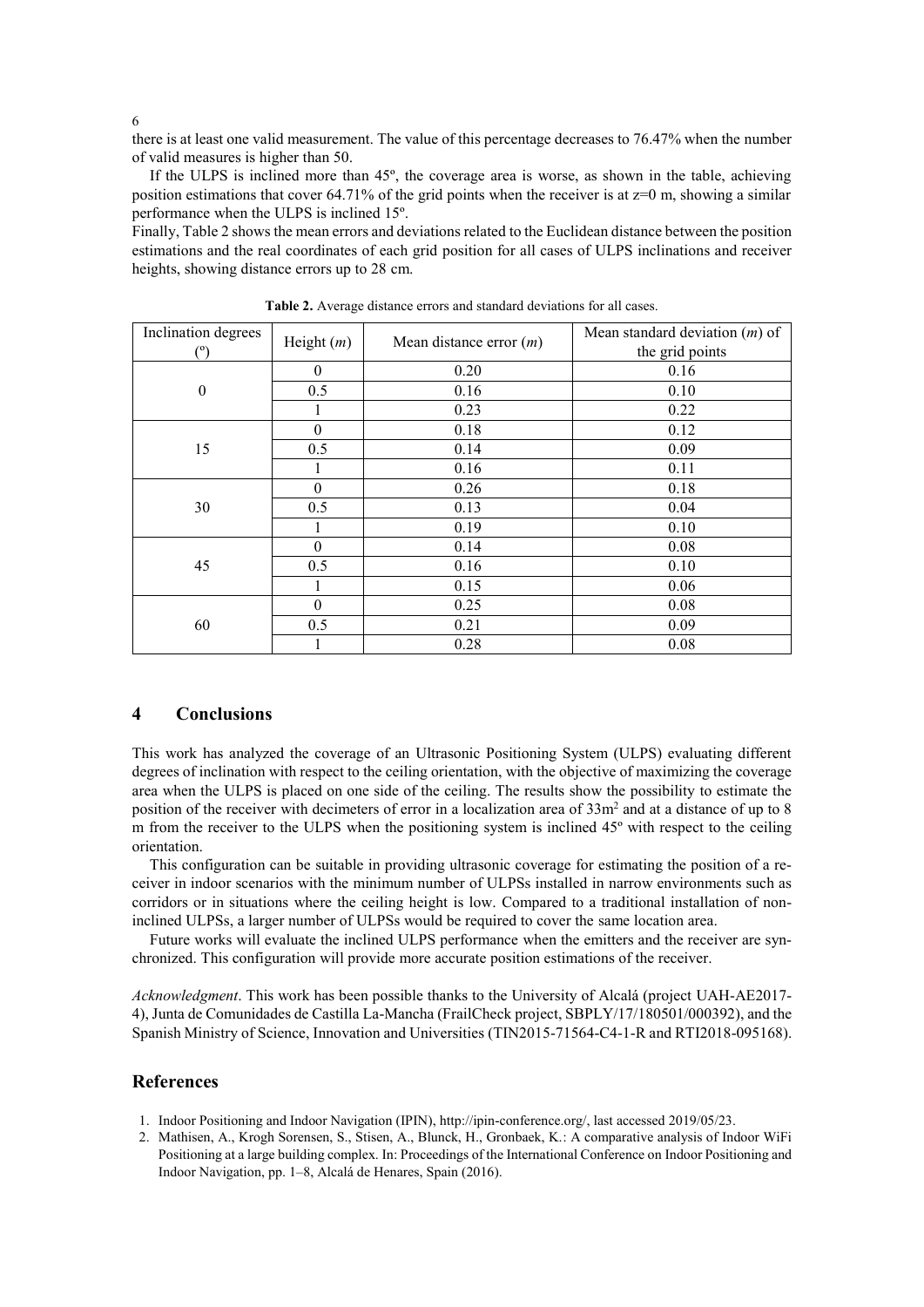6

there is at least one valid measurement. The value of this percentage decreases to 76.47% when the number of valid measures is higher than 50.

If the ULPS is inclined more than 45º, the coverage area is worse, as shown in the table, achieving position estimations that cover 64.71% of the grid points when the receiver is at  $z=0$  m, showing a similar performance when the ULPS is inclined 15º.

Finally, Table 2 shows the mean errors and deviations related to the Euclidean distance between the position estimations and the real coordinates of each grid position for all cases of ULPS inclinations and receiver heights, showing distance errors up to 28 cm.

| Inclination degrees | Height $(m)$ | Mean distance error $(m)$ | Mean standard deviation $(m)$ of<br>the grid points |
|---------------------|--------------|---------------------------|-----------------------------------------------------|
| $\boldsymbol{0}$    | $\theta$     | 0.20                      | 0.16                                                |
|                     | 0.5          | 0.16                      | 0.10                                                |
|                     |              | 0.23                      | 0.22                                                |
| 15                  | $\theta$     | 0.18                      | 0.12                                                |
|                     | 0.5          | 0.14                      | 0.09                                                |
|                     |              | 0.16                      | 0.11                                                |
| 30                  | $\theta$     | 0.26                      | 0.18                                                |
|                     | 0.5          | 0.13                      | 0.04                                                |
|                     |              | 0.19                      | 0.10                                                |
| 45                  | $\theta$     | 0.14                      | 0.08                                                |
|                     | 0.5          | 0.16                      | 0.10                                                |
|                     |              | 0.15                      | 0.06                                                |
| 60                  | $\theta$     | 0.25                      | 0.08                                                |
|                     | 0.5          | 0.21                      | 0.09                                                |
|                     |              | 0.28                      | 0.08                                                |

**Table 2.** Average distance errors and standard deviations for all cases.

# **4 Conclusions**

This work has analyzed the coverage of an Ultrasonic Positioning System (ULPS) evaluating different degrees of inclination with respect to the ceiling orientation, with the objective of maximizing the coverage area when the ULPS is placed on one side of the ceiling. The results show the possibility to estimate the position of the receiver with decimeters of error in a localization area of 33m<sup>2</sup> and at a distance of up to 8 m from the receiver to the ULPS when the positioning system is inclined 45º with respect to the ceiling orientation.

This configuration can be suitable in providing ultrasonic coverage for estimating the position of a receiver in indoor scenarios with the minimum number of ULPSs installed in narrow environments such as corridors or in situations where the ceiling height is low. Compared to a traditional installation of noninclined ULPSs, a larger number of ULPSs would be required to cover the same location area.

Future works will evaluate the inclined ULPS performance when the emitters and the receiver are synchronized. This configuration will provide more accurate position estimations of the receiver.

*Acknowledgment*. This work has been possible thanks to the University of Alcalá (project UAH-AE2017- 4), Junta de Comunidades de Castilla La-Mancha (FrailCheck project, SBPLY/17/180501/000392), and the Spanish Ministry of Science, Innovation and Universities (TIN2015-71564-C4-1-R and RTI2018-095168).

## **References**

- 1. Indoor Positioning and Indoor Navigation (IPIN)[, http://ipin-conference.org/,](http://ipin-conference.org/) last accessed 2019/05/23.
- 2. Mathisen, A., Krogh Sorensen, S., Stisen, A., Blunck, H., Gronbaek, K.: A comparative analysis of Indoor WiFi Positioning at a large building complex. In: Proceedings of the International Conference on Indoor Positioning and Indoor Navigation, pp. 1–8, Alcalá de Henares, Spain (2016).